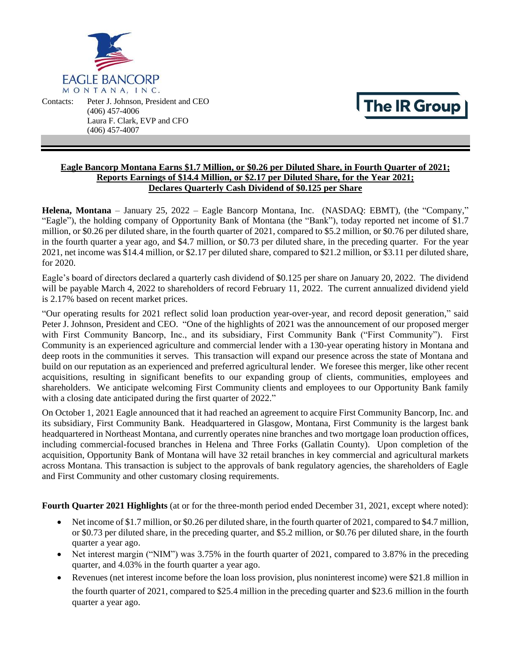

Contacts: Peter J. Johnson, President and CEO (406) 457-4006 Laura F. Clark, EVP and CFO (406) 457-4007

# The IR Group

# **Eagle Bancorp Montana Earns \$1.7 Million, or \$0.26 per Diluted Share, in Fourth Quarter of 2021; Reports Earnings of \$14.4 Million, or \$2.17 per Diluted Share, for the Year 2021; Declares Quarterly Cash Dividend of \$0.125 per Share**

**Helena, Montana** – January 25, 2022 – Eagle Bancorp Montana, Inc. (NASDAQ: EBMT), (the "Company," "Eagle"), the holding company of Opportunity Bank of Montana (the "Bank"), today reported net income of \$1.7 million, or \$0.26 per diluted share, in the fourth quarter of 2021, compared to \$5.2 million, or \$0.76 per diluted share, in the fourth quarter a year ago, and \$4.7 million, or \$0.73 per diluted share, in the preceding quarter. For the year 2021, net income was \$14.4 million, or \$2.17 per diluted share, compared to \$21.2 million, or \$3.11 per diluted share, for 2020.

Eagle's board of directors declared a quarterly cash dividend of \$0.125 per share on January 20, 2022. The dividend will be payable March 4, 2022 to shareholders of record February 11, 2022. The current annualized dividend yield is 2.17% based on recent market prices.

"Our operating results for 2021 reflect solid loan production year-over-year, and record deposit generation," said Peter J. Johnson, President and CEO. "One of the highlights of 2021 was the announcement of our proposed merger with First Community Bancorp, Inc., and its subsidiary, First Community Bank ("First Community"). First Community is an experienced agriculture and commercial lender with a 130-year operating history in Montana and deep roots in the communities it serves. This transaction will expand our presence across the state of Montana and build on our reputation as an experienced and preferred agricultural lender. We foresee this merger, like other recent acquisitions, resulting in significant benefits to our expanding group of clients, communities, employees and shareholders. We anticipate welcoming First Community clients and employees to our Opportunity Bank family with a closing date anticipated during the first quarter of 2022."

On October 1, 2021 Eagle announced that it had reached an agreement to acquire First Community Bancorp, Inc. and its subsidiary, First Community Bank. Headquartered in Glasgow, Montana, First Community is the largest bank headquartered in Northeast Montana, and currently operates nine branches and two mortgage loan production offices, including commercial-focused branches in Helena and Three Forks (Gallatin County). Upon completion of the acquisition, Opportunity Bank of Montana will have 32 retail branches in key commercial and agricultural markets across Montana. This transaction is subject to the approvals of bank regulatory agencies, the shareholders of Eagle and First Community and other customary closing requirements.

**Fourth Quarter 2021 Highlights** (at or for the three-month period ended December 31, 2021, except where noted):

- Net income of \$1.7 million, or \$0.26 per diluted share, in the fourth quarter of 2021, compared to \$4.7 million, or \$0.73 per diluted share, in the preceding quarter, and \$5.2 million, or \$0.76 per diluted share, in the fourth quarter a year ago.
- Net interest margin ("NIM") was 3.75% in the fourth quarter of 2021, compared to 3.87% in the preceding quarter, and 4.03% in the fourth quarter a year ago.
- Revenues (net interest income before the loan loss provision, plus noninterest income) were \$21.8 million in the fourth quarter of 2021, compared to \$25.4 million in the preceding quarter and \$23.6 million in the fourth quarter a year ago.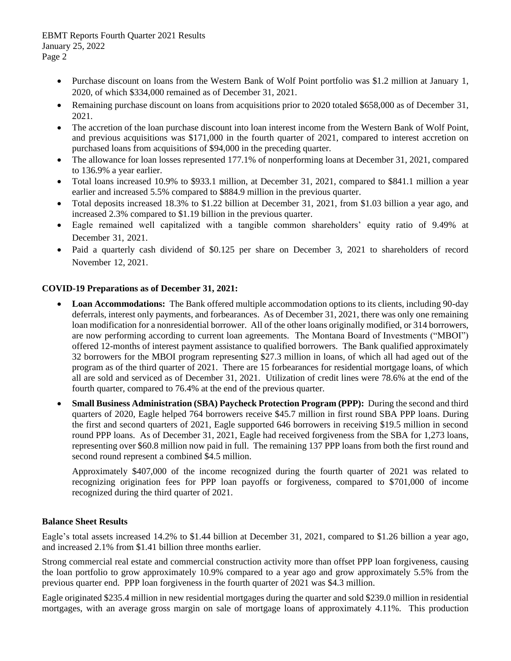- Purchase discount on loans from the Western Bank of Wolf Point portfolio was \$1.2 million at January 1, 2020, of which \$334,000 remained as of December 31, 2021.
- Remaining purchase discount on loans from acquisitions prior to 2020 totaled \$658,000 as of December 31, 2021.
- The accretion of the loan purchase discount into loan interest income from the Western Bank of Wolf Point, and previous acquisitions was \$171,000 in the fourth quarter of 2021, compared to interest accretion on purchased loans from acquisitions of \$94,000 in the preceding quarter.
- The allowance for loan losses represented 177.1% of nonperforming loans at December 31, 2021, compared to 136.9% a year earlier.
- Total loans increased 10.9% to \$933.1 million, at December 31, 2021, compared to \$841.1 million a year earlier and increased 5.5% compared to \$884.9 million in the previous quarter.
- Total deposits increased 18.3% to \$1.22 billion at December 31, 2021, from \$1.03 billion a year ago, and increased 2.3% compared to \$1.19 billion in the previous quarter.
- Eagle remained well capitalized with a tangible common shareholders' equity ratio of 9.49% at December 31, 2021.
- Paid a quarterly cash dividend of \$0.125 per share on December 3, 2021 to shareholders of record November 12, 2021.

# **COVID-19 Preparations as of December 31, 2021:**

- **Loan Accommodations:** The Bank offered multiple accommodation options to its clients, including 90-day deferrals, interest only payments, and forbearances. As of December 31, 2021, there was only one remaining loan modification for a nonresidential borrower. All of the other loans originally modified, or 314 borrowers, are now performing according to current loan agreements. The Montana Board of Investments ("MBOI") offered 12-months of interest payment assistance to qualified borrowers. The Bank qualified approximately 32 borrowers for the MBOI program representing \$27.3 million in loans, of which all had aged out of the program as of the third quarter of 2021. There are 15 forbearances for residential mortgage loans, of which all are sold and serviced as of December 31, 2021. Utilization of credit lines were 78.6% at the end of the fourth quarter, compared to 76.4% at the end of the previous quarter.
- **Small Business Administration (SBA) Paycheck Protection Program (PPP):** During the second and third quarters of 2020, Eagle helped 764 borrowers receive \$45.7 million in first round SBA PPP loans. During the first and second quarters of 2021, Eagle supported 646 borrowers in receiving \$19.5 million in second round PPP loans. As of December 31, 2021, Eagle had received forgiveness from the SBA for 1,273 loans, representing over \$60.8 million now paid in full. The remaining 137 PPP loans from both the first round and second round represent a combined \$4.5 million.

Approximately \$407,000 of the income recognized during the fourth quarter of 2021 was related to recognizing origination fees for PPP loan payoffs or forgiveness, compared to \$701,000 of income recognized during the third quarter of 2021.

# **Balance Sheet Results**

Eagle's total assets increased 14.2% to \$1.44 billion at December 31, 2021, compared to \$1.26 billion a year ago, and increased 2.1% from \$1.41 billion three months earlier.

Strong commercial real estate and commercial construction activity more than offset PPP loan forgiveness, causing the loan portfolio to grow approximately 10.9% compared to a year ago and grow approximately 5.5% from the previous quarter end. PPP loan forgiveness in the fourth quarter of 2021 was \$4.3 million.

Eagle originated \$235.4 million in new residential mortgages during the quarter and sold \$239.0 million in residential mortgages, with an average gross margin on sale of mortgage loans of approximately 4.11%. This production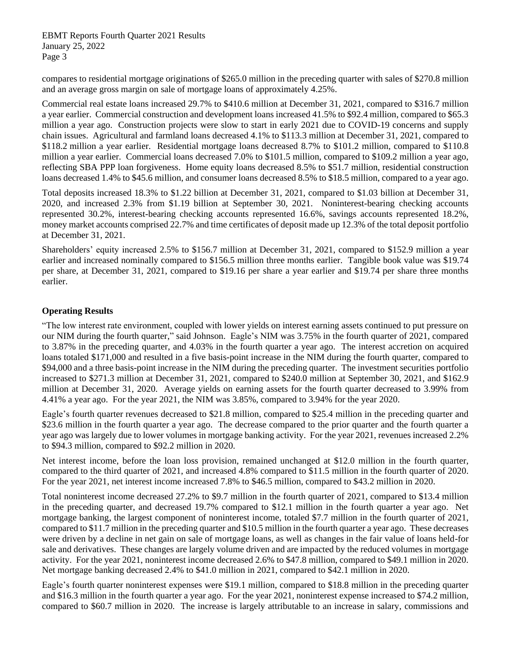compares to residential mortgage originations of \$265.0 million in the preceding quarter with sales of \$270.8 million and an average gross margin on sale of mortgage loans of approximately 4.25%.

Commercial real estate loans increased 29.7% to \$410.6 million at December 31, 2021, compared to \$316.7 million a year earlier. Commercial construction and development loans increased 41.5% to \$92.4 million, compared to \$65.3 million a year ago. Construction projects were slow to start in early 2021 due to COVID-19 concerns and supply chain issues. Agricultural and farmland loans decreased 4.1% to \$113.3 million at December 31, 2021, compared to \$118.2 million a year earlier. Residential mortgage loans decreased 8.7% to \$101.2 million, compared to \$110.8 million a year earlier. Commercial loans decreased 7.0% to \$101.5 million, compared to \$109.2 million a year ago, reflecting SBA PPP loan forgiveness. Home equity loans decreased 8.5% to \$51.7 million, residential construction loans decreased 1.4% to \$45.6 million, and consumer loans decreased 8.5% to \$18.5 million, compared to a year ago.

Total deposits increased 18.3% to \$1.22 billion at December 31, 2021, compared to \$1.03 billion at December 31, 2020, and increased 2.3% from \$1.19 billion at September 30, 2021. Noninterest-bearing checking accounts represented 30.2%, interest-bearing checking accounts represented 16.6%, savings accounts represented 18.2%, money market accounts comprised 22.7% and time certificates of deposit made up 12.3% of the total deposit portfolio at December 31, 2021.

Shareholders' equity increased 2.5% to \$156.7 million at December 31, 2021, compared to \$152.9 million a year earlier and increased nominally compared to \$156.5 million three months earlier. Tangible book value was \$19.74 per share, at December 31, 2021, compared to \$19.16 per share a year earlier and \$19.74 per share three months earlier.

# **Operating Results**

"The low interest rate environment, coupled with lower yields on interest earning assets continued to put pressure on our NIM during the fourth quarter," said Johnson. Eagle's NIM was 3.75% in the fourth quarter of 2021, compared to 3.87% in the preceding quarter, and 4.03% in the fourth quarter a year ago. The interest accretion on acquired loans totaled \$171,000 and resulted in a five basis-point increase in the NIM during the fourth quarter, compared to \$94,000 and a three basis-point increase in the NIM during the preceding quarter. The investment securities portfolio increased to \$271.3 million at December 31, 2021, compared to \$240.0 million at September 30, 2021, and \$162.9 million at December 31, 2020. Average yields on earning assets for the fourth quarter decreased to 3.99% from 4.41% a year ago. For the year 2021, the NIM was 3.85%, compared to 3.94% for the year 2020.

Eagle's fourth quarter revenues decreased to \$21.8 million, compared to \$25.4 million in the preceding quarter and \$23.6 million in the fourth quarter a year ago. The decrease compared to the prior quarter and the fourth quarter a year ago was largely due to lower volumes in mortgage banking activity. For the year 2021, revenues increased 2.2% to \$94.3 million, compared to \$92.2 million in 2020.

Net interest income, before the loan loss provision, remained unchanged at \$12.0 million in the fourth quarter, compared to the third quarter of 2021, and increased 4.8% compared to \$11.5 million in the fourth quarter of 2020. For the year 2021, net interest income increased 7.8% to \$46.5 million, compared to \$43.2 million in 2020.

Total noninterest income decreased 27.2% to \$9.7 million in the fourth quarter of 2021, compared to \$13.4 million in the preceding quarter, and decreased 19.7% compared to \$12.1 million in the fourth quarter a year ago. Net mortgage banking, the largest component of noninterest income, totaled \$7.7 million in the fourth quarter of 2021, compared to \$11.7 million in the preceding quarter and \$10.5 million in the fourth quarter a year ago. These decreases were driven by a decline in net gain on sale of mortgage loans, as well as changes in the fair value of loans held-for sale and derivatives. These changes are largely volume driven and are impacted by the reduced volumes in mortgage activity. For the year 2021, noninterest income decreased 2.6% to \$47.8 million, compared to \$49.1 million in 2020. Net mortgage banking decreased 2.4% to \$41.0 million in 2021, compared to \$42.1 million in 2020.

Eagle's fourth quarter noninterest expenses were \$19.1 million, compared to \$18.8 million in the preceding quarter and \$16.3 million in the fourth quarter a year ago. For the year 2021, noninterest expense increased to \$74.2 million, compared to \$60.7 million in 2020. The increase is largely attributable to an increase in salary, commissions and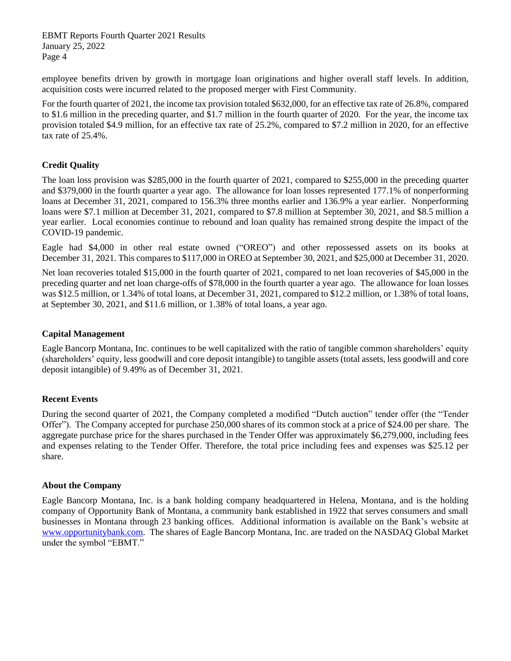employee benefits driven by growth in mortgage loan originations and higher overall staff levels. In addition, acquisition costs were incurred related to the proposed merger with First Community.

For the fourth quarter of 2021, the income tax provision totaled \$632,000, for an effective tax rate of 26.8%, compared to \$1.6 million in the preceding quarter, and \$1.7 million in the fourth quarter of 2020. For the year, the income tax provision totaled \$4.9 million, for an effective tax rate of 25.2%, compared to \$7.2 million in 2020, for an effective tax rate of 25.4%.

# **Credit Quality**

The loan loss provision was \$285,000 in the fourth quarter of 2021, compared to \$255,000 in the preceding quarter and \$379,000 in the fourth quarter a year ago. The allowance for loan losses represented 177.1% of nonperforming loans at December 31, 2021, compared to 156.3% three months earlier and 136.9% a year earlier. Nonperforming loans were \$7.1 million at December 31, 2021, compared to \$7.8 million at September 30, 2021, and \$8.5 million a year earlier. Local economies continue to rebound and loan quality has remained strong despite the impact of the COVID-19 pandemic.

Eagle had \$4,000 in other real estate owned ("OREO") and other repossessed assets on its books at December 31, 2021. This compares to \$117,000 in OREO at September 30, 2021, and \$25,000 at December 31, 2020.

Net loan recoveries totaled \$15,000 in the fourth quarter of 2021, compared to net loan recoveries of \$45,000 in the preceding quarter and net loan charge-offs of \$78,000 in the fourth quarter a year ago. The allowance for loan losses was \$12.5 million, or 1.34% of total loans, at December 31, 2021, compared to \$12.2 million, or 1.38% of total loans, at September 30, 2021, and \$11.6 million, or 1.38% of total loans, a year ago.

# **Capital Management**

Eagle Bancorp Montana, Inc. continues to be well capitalized with the ratio of tangible common shareholders' equity (shareholders' equity, less goodwill and core deposit intangible) to tangible assets (total assets, less goodwill and core deposit intangible) of 9.49% as of December 31, 2021.

# **Recent Events**

During the second quarter of 2021, the Company completed a modified "Dutch auction" tender offer (the "Tender Offer"). The Company accepted for purchase 250,000 shares of its common stock at a price of \$24.00 per share. The aggregate purchase price for the shares purchased in the Tender Offer was approximately \$6,279,000, including fees and expenses relating to the Tender Offer. Therefore, the total price including fees and expenses was \$25.12 per share.

#### **About the Company**

Eagle Bancorp Montana, Inc. is a bank holding company headquartered in Helena, Montana, and is the holding company of Opportunity Bank of Montana, a community bank established in 1922 that serves consumers and small businesses in Montana through 23 banking offices. Additional information is available on the Bank's website at [www.opportunitybank.com.](http://www.opportunitybank.com/) The shares of Eagle Bancorp Montana, Inc. are traded on the NASDAQ Global Market under the symbol "EBMT."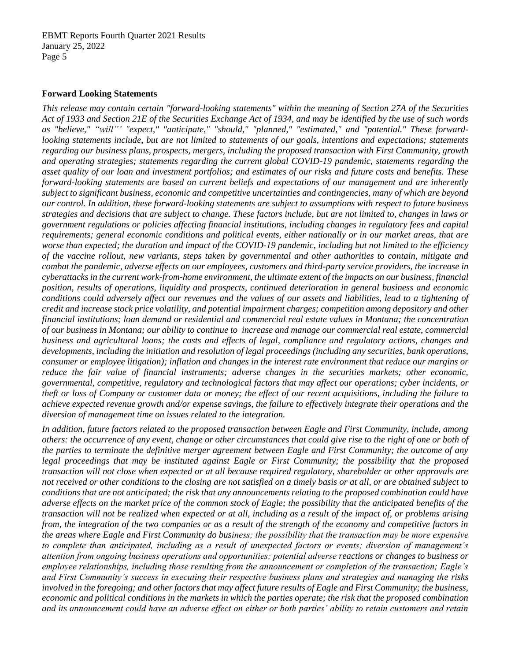#### **Forward Looking Statements**

*This release may contain certain "forward-looking statements" within the meaning of Section 27A of the Securities Act of 1933 and Section 21E of the Securities Exchange Act of 1934, and may be identified by the use of such words as "believe," "will"' "expect," "anticipate," "should," "planned," "estimated," and "potential." These forwardlooking statements include, but are not limited to statements of our goals, intentions and expectations; statements regarding our business plans, prospects, mergers, including the proposed transaction with First Community, growth and operating strategies; statements regarding the current global COVID-19 pandemic, statements regarding the asset quality of our loan and investment portfolios; and estimates of our risks and future costs and benefits. These forward-looking statements are based on current beliefs and expectations of our management and are inherently subject to significant business, economic and competitive uncertainties and contingencies, many of which are beyond our control. In addition, these forward-looking statements are subject to assumptions with respect to future business strategies and decisions that are subject to change. These factors include, but are not limited to, changes in laws or government regulations or policies affecting financial institutions, including changes in regulatory fees and capital requirements; general economic conditions and political events, either nationally or in our market areas, that are worse than expected; the duration and impact of the COVID-19 pandemic, including but not limited to the efficiency of the vaccine rollout, new variants, steps taken by governmental and other authorities to contain, mitigate and combat the pandemic, adverse effects on our employees, customers and third-party service providers, the increase in cyberattacks in the current work-from-home environment, the ultimate extent of the impacts on our business, financial position, results of operations, liquidity and prospects, continued deterioration in general business and economic conditions could adversely affect our revenues and the values of our assets and liabilities, lead to a tightening of credit and increase stock price volatility, and potential impairment charges; competition among depository and other financial institutions; loan demand or residential and commercial real estate values in Montana; the concentration of our business in Montana; our ability to continue to increase and manage our commercial real estate, commercial business and agricultural loans; the costs and effects of legal, compliance and regulatory actions, changes and developments, including the initiation and resolution of legal proceedings (including any securities, bank operations, consumer or employee litigation); inflation and changes in the interest rate environment that reduce our margins or reduce the fair value of financial instruments; adverse changes in the securities markets; other economic, governmental, competitive, regulatory and technological factors that may affect our operations; cyber incidents, or theft or loss of Company or customer data or money; the effect of our recent acquisitions, including the failure to achieve expected revenue growth and/or expense savings, the failure to effectively integrate their operations and the diversion of management time on issues related to the integration.* 

*In addition, future factors related to the proposed transaction between Eagle and First Community, include, among others: the occurrence of any event, change or other circumstances that could give rise to the right of one or both of the parties to terminate the definitive merger agreement between Eagle and First Community; the outcome of any legal proceedings that may be instituted against Eagle or First Community; the possibility that the proposed transaction will not close when expected or at all because required regulatory, shareholder or other approvals are not received or other conditions to the closing are not satisfied on a timely basis or at all, or are obtained subject to conditions that are not anticipated; the risk that any announcements relating to the proposed combination could have adverse effects on the market price of the common stock of Eagle; the possibility that the anticipated benefits of the transaction will not be realized when expected or at all, including as a result of the impact of, or problems arising from, the integration of the two companies or as a result of the strength of the economy and competitive factors in the areas where Eagle and First Community do business; the possibility that the transaction may be more expensive to complete than anticipated, including as a result of unexpected factors or events; diversion of management's attention from ongoing business operations and opportunities; potential adverse reactions or changes to business or employee relationships, including those resulting from the announcement or completion of the transaction; Eagle's and First Community's success in executing their respective business plans and strategies and managing the risks involved in the foregoing; and other factors that may affect future results of Eagle and First Community; the business, economic and political conditions in the markets in which the parties operate; the risk that the proposed combination and its announcement could have an adverse effect on either or both parties' ability to retain customers and retain*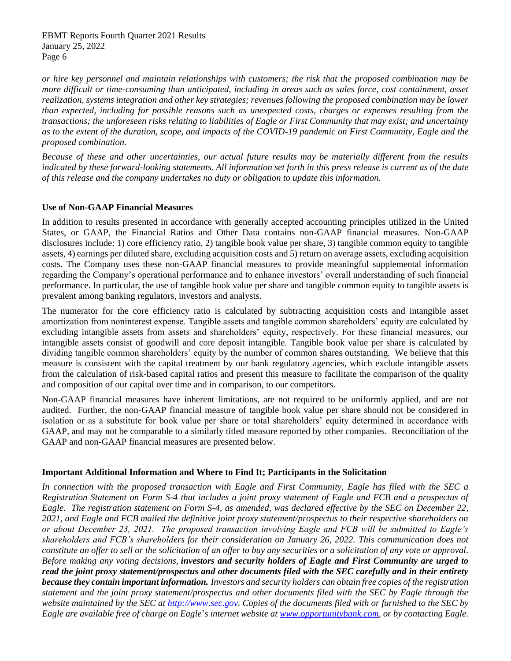*or hire key personnel and maintain relationships with customers; the risk that the proposed combination may be more difficult or time-consuming than anticipated, including in areas such as sales force, cost containment, asset realization, systems integration and other key strategies; revenues following the proposed combination may be lower than expected, including for possible reasons such as unexpected costs, charges or expenses resulting from the transactions; the unforeseen risks relating to liabilities of Eagle or First Community that may exist; and uncertainty as to the extent of the duration, scope, and impacts of the COVID-19 pandemic on First Community, Eagle and the proposed combination.* 

*Because of these and other uncertainties, our actual future results may be materially different from the results indicated by these forward-looking statements. All information set forth in this press release is current as of the date of this release and the company undertakes no duty or obligation to update this information.*

# **Use of Non-GAAP Financial Measures**

In addition to results presented in accordance with generally accepted accounting principles utilized in the United States, or GAAP, the Financial Ratios and Other Data contains non-GAAP financial measures. Non-GAAP disclosures include: 1) core efficiency ratio, 2) tangible book value per share, 3) tangible common equity to tangible assets, 4) earnings per diluted share, excluding acquisition costs and 5) return on average assets, excluding acquisition costs. The Company uses these non-GAAP financial measures to provide meaningful supplemental information regarding the Company's operational performance and to enhance investors' overall understanding of such financial performance. In particular, the use of tangible book value per share and tangible common equity to tangible assets is prevalent among banking regulators, investors and analysts.

The numerator for the core efficiency ratio is calculated by subtracting acquisition costs and intangible asset amortization from noninterest expense. Tangible assets and tangible common shareholders' equity are calculated by excluding intangible assets from assets and shareholders' equity, respectively. For these financial measures, our intangible assets consist of goodwill and core deposit intangible. Tangible book value per share is calculated by dividing tangible common shareholders' equity by the number of common shares outstanding. We believe that this measure is consistent with the capital treatment by our bank regulatory agencies, which exclude intangible assets from the calculation of risk-based capital ratios and present this measure to facilitate the comparison of the quality and composition of our capital over time and in comparison, to our competitors.

Non-GAAP financial measures have inherent limitations, are not required to be uniformly applied, and are not audited. Further, the non-GAAP financial measure of tangible book value per share should not be considered in isolation or as a substitute for book value per share or total shareholders' equity determined in accordance with GAAP, and may not be comparable to a similarly titled measure reported by other companies. Reconciliation of the GAAP and non-GAAP financial measures are presented below.

# **Important Additional Information and Where to Find It; Participants in the Solicitation**

*In connection with the proposed transaction with Eagle and First Community, Eagle has filed with the SEC a Registration Statement on Form S-4 that includes a joint proxy statement of Eagle and FCB and a prospectus of Eagle. The registration statement on Form S-4, as amended, was declared effective by the SEC on December 22, 2021, and Eagle and FCB mailed the definitive joint proxy statement/prospectus to their respective shareholders on or about December 23, 2021. The proposed transaction involving Eagle and FCB will be submitted to Eagle's shareholders and FCB's shareholders for their consideration on January 26, 2022. This communication does not constitute an offer to sell or the solicitation of an offer to buy any securities or a solicitation of any vote or approval. Before making any voting decisions, investors and security holders of Eagle and First Community are urged to read the joint proxy statement/prospectus and other documents filed with the SEC carefully and in their entirety because they contain important information. Investors and security holders can obtain free copies of the registration statement and the joint proxy statement/prospectus and other documents filed with the SEC by Eagle through the website maintained by the SEC at [http://www.sec.gov.](http://www.sec.gov/) Copies of the documents filed with or furnished to the SEC by Eagle are available free of charge on Eagle*'*s internet website at [www.opportunitybank.com,](http://www.opportunitybank.com/) or by contacting Eagle.*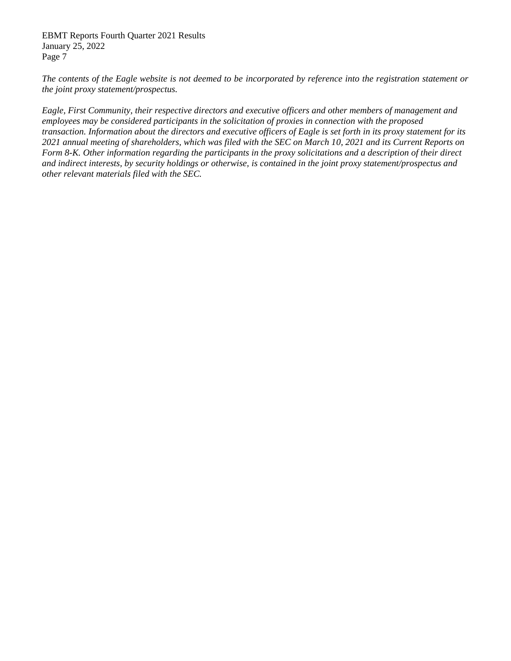*The contents of the Eagle website is not deemed to be incorporated by reference into the registration statement or the joint proxy statement/prospectus.*

*Eagle, First Community, their respective directors and executive officers and other members of management and employees may be considered participants in the solicitation of proxies in connection with the proposed transaction. Information about the directors and executive officers of Eagle is set forth in its proxy statement for its 2021 annual meeting of shareholders, which was filed with the SEC on March 10, 2021 and its Current Reports on Form 8-K. Other information regarding the participants in the proxy solicitations and a description of their direct and indirect interests, by security holdings or otherwise, is contained in the joint proxy statement/prospectus and other relevant materials filed with the SEC.*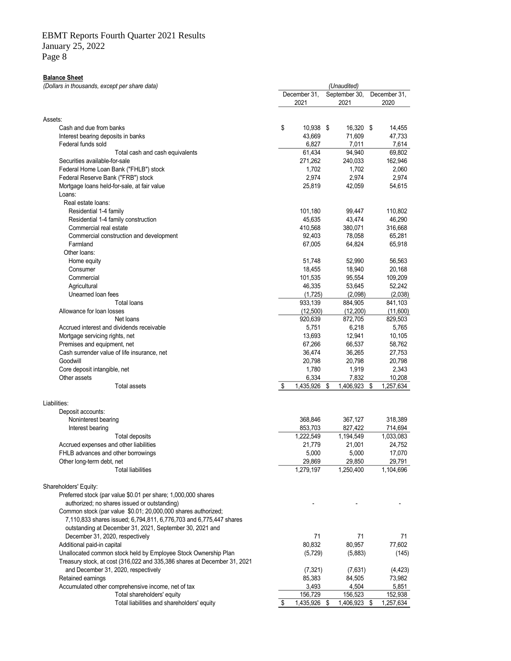# EBMT Reports Fourth Quarter 2021 Results

January 25, 2022

Page 8

#### **Balance Sheet**

*(Dollars in thousands, except per share data)*

| Assets:<br>\$<br>Cash and due from banks<br>10,938 \$<br>16,320 \$<br>14,455<br>43,669<br>71,609<br>47,733<br>Interest bearing deposits in banks<br>Federal funds sold<br>6,827<br>7,011<br>7,614<br>61,434<br>69,802<br>94,940<br>Total cash and cash equivalents<br>271,262<br>240,033<br>162,946<br>Securities available-for-sale<br>Federal Home Loan Bank ("FHLB") stock<br>1,702<br>1,702<br>2,060<br>2,974<br>2,974<br>Federal Reserve Bank ("FRB") stock<br>2,974<br>Mortgage loans held-for-sale, at fair value<br>25,819<br>42,059<br>54,615<br>Loans:<br>Real estate loans:<br>101,180<br>99,447<br>110,802<br>Residential 1-4 family<br>Residential 1-4 family construction<br>45,635<br>43,474<br>46,290<br>Commercial real estate<br>410,568<br>380,071<br>316,668<br>65,281<br>92,403<br>78,058<br>Commercial construction and development<br>Farmland<br>67,005<br>64,824<br>65,918<br>Other loans:<br>51,748<br>52,990<br>56,563<br>Home equity<br>18,455<br>18,940<br>20,168<br>Consumer<br>109,209<br>Commercial<br>101,535<br>95,554<br>46,335<br>53,645<br>52,242<br>Agricultural<br>Unearned loan fees<br>(1,725)<br>(2,098)<br>(2,038)<br>933,139<br>841,103<br><b>Total loans</b><br>884,905<br>(12,500)<br>(12, 200)<br>(11,600)<br>Allowance for loan losses<br>829,503<br>920,639<br>872,705<br>Net loans<br>6,218<br>Accrued interest and dividends receivable<br>5,751<br>5,765<br>13,693<br>12,941<br>10,105<br>Mortgage servicing rights, net<br>66,537<br>Premises and equipment, net<br>67,266<br>58,762<br>36,265<br>Cash surrender value of life insurance, net<br>36,474<br>27,753<br>Goodwill<br>20,798<br>20,798<br>20,798<br>Core deposit intangible, net<br>1,780<br>1,919<br>2,343<br>6,334<br>7,832<br>Other assets<br>10,208<br>\$<br>1,435,926<br>1,406,923<br>\$<br>1,257,634<br>\$<br>Total assets<br>Liabilities:<br>Deposit accounts:<br>368,846<br>367,127<br>318,389<br>Noninterest bearing<br>853,703<br>827,422<br>714,694<br>Interest bearing<br>1,222,549<br>1,194,549<br>1,033,083<br><b>Total deposits</b><br>Accrued expenses and other liabilities<br>21,779<br>21,001<br>24,752<br>5,000<br>5,000<br>17,070<br>FHLB advances and other borrowings<br>29,869<br>29,850<br>29,791<br>Other long-term debt, net<br>1,279,197<br>1,250,400<br>1,104,696<br>Total liabilities<br>Shareholders' Equity:<br>Preferred stock (par value \$0.01 per share; 1,000,000 shares<br>authorized; no shares issued or outstanding)<br>Common stock (par value \$0.01; 20,000,000 shares authorized;<br>7,110,833 shares issued; 6,794,811, 6,776,703 and 6,775,447 shares<br>outstanding at December 31, 2021, September 30, 2021 and<br>December 31, 2020, respectively<br>71<br>71<br>71<br>80,832<br>80,957<br>Additional paid-in capital<br>77,602<br>Unallocated common stock held by Employee Stock Ownership Plan<br>(5, 729)<br>(5,883)<br>(145)<br>Treasury stock, at cost (316,022 and 335,386 shares at December 31, 2021<br>and December 31, 2020, respectively<br>(4, 423)<br>(7, 321)<br>(7,631)<br>Retained earnings<br>85,383<br>84,505<br>73,982<br>3,493<br>4,504<br>5,851<br>Accumulated other comprehensive income, net of tax<br>Total shareholders' equity<br>156,729<br>156,523<br>152,938<br>Total liabilities and shareholders' equity<br>\$<br>1,435,926 \$<br>1,406,923 \$<br>1,257,634 |  | December 31,<br>2021 | September 30, |      | December 31,<br>2020 |
|---------------------------------------------------------------------------------------------------------------------------------------------------------------------------------------------------------------------------------------------------------------------------------------------------------------------------------------------------------------------------------------------------------------------------------------------------------------------------------------------------------------------------------------------------------------------------------------------------------------------------------------------------------------------------------------------------------------------------------------------------------------------------------------------------------------------------------------------------------------------------------------------------------------------------------------------------------------------------------------------------------------------------------------------------------------------------------------------------------------------------------------------------------------------------------------------------------------------------------------------------------------------------------------------------------------------------------------------------------------------------------------------------------------------------------------------------------------------------------------------------------------------------------------------------------------------------------------------------------------------------------------------------------------------------------------------------------------------------------------------------------------------------------------------------------------------------------------------------------------------------------------------------------------------------------------------------------------------------------------------------------------------------------------------------------------------------------------------------------------------------------------------------------------------------------------------------------------------------------------------------------------------------------------------------------------------------------------------------------------------------------------------------------------------------------------------------------------------------------------------------------------------------------------------------------------------------------------------------------------------------------------------------------------------------------------------------------------------------------------------------------------------------------------------------------------------------------------------------------------------------------------------------------------------------------------------------------------------------------------------------------------------------------------------------------------------------------------------------------------------------------------------------------------------------------------------------------------------------------------------------------------------------------------------------------------------------------------------------------------|--|----------------------|---------------|------|----------------------|
|                                                                                                                                                                                                                                                                                                                                                                                                                                                                                                                                                                                                                                                                                                                                                                                                                                                                                                                                                                                                                                                                                                                                                                                                                                                                                                                                                                                                                                                                                                                                                                                                                                                                                                                                                                                                                                                                                                                                                                                                                                                                                                                                                                                                                                                                                                                                                                                                                                                                                                                                                                                                                                                                                                                                                                                                                                                                                                                                                                                                                                                                                                                                                                                                                                                                                                                                                               |  |                      |               | 2021 |                      |
|                                                                                                                                                                                                                                                                                                                                                                                                                                                                                                                                                                                                                                                                                                                                                                                                                                                                                                                                                                                                                                                                                                                                                                                                                                                                                                                                                                                                                                                                                                                                                                                                                                                                                                                                                                                                                                                                                                                                                                                                                                                                                                                                                                                                                                                                                                                                                                                                                                                                                                                                                                                                                                                                                                                                                                                                                                                                                                                                                                                                                                                                                                                                                                                                                                                                                                                                                               |  |                      |               |      |                      |
|                                                                                                                                                                                                                                                                                                                                                                                                                                                                                                                                                                                                                                                                                                                                                                                                                                                                                                                                                                                                                                                                                                                                                                                                                                                                                                                                                                                                                                                                                                                                                                                                                                                                                                                                                                                                                                                                                                                                                                                                                                                                                                                                                                                                                                                                                                                                                                                                                                                                                                                                                                                                                                                                                                                                                                                                                                                                                                                                                                                                                                                                                                                                                                                                                                                                                                                                                               |  |                      |               |      |                      |
|                                                                                                                                                                                                                                                                                                                                                                                                                                                                                                                                                                                                                                                                                                                                                                                                                                                                                                                                                                                                                                                                                                                                                                                                                                                                                                                                                                                                                                                                                                                                                                                                                                                                                                                                                                                                                                                                                                                                                                                                                                                                                                                                                                                                                                                                                                                                                                                                                                                                                                                                                                                                                                                                                                                                                                                                                                                                                                                                                                                                                                                                                                                                                                                                                                                                                                                                                               |  |                      |               |      |                      |
|                                                                                                                                                                                                                                                                                                                                                                                                                                                                                                                                                                                                                                                                                                                                                                                                                                                                                                                                                                                                                                                                                                                                                                                                                                                                                                                                                                                                                                                                                                                                                                                                                                                                                                                                                                                                                                                                                                                                                                                                                                                                                                                                                                                                                                                                                                                                                                                                                                                                                                                                                                                                                                                                                                                                                                                                                                                                                                                                                                                                                                                                                                                                                                                                                                                                                                                                                               |  |                      |               |      |                      |
|                                                                                                                                                                                                                                                                                                                                                                                                                                                                                                                                                                                                                                                                                                                                                                                                                                                                                                                                                                                                                                                                                                                                                                                                                                                                                                                                                                                                                                                                                                                                                                                                                                                                                                                                                                                                                                                                                                                                                                                                                                                                                                                                                                                                                                                                                                                                                                                                                                                                                                                                                                                                                                                                                                                                                                                                                                                                                                                                                                                                                                                                                                                                                                                                                                                                                                                                                               |  |                      |               |      |                      |
|                                                                                                                                                                                                                                                                                                                                                                                                                                                                                                                                                                                                                                                                                                                                                                                                                                                                                                                                                                                                                                                                                                                                                                                                                                                                                                                                                                                                                                                                                                                                                                                                                                                                                                                                                                                                                                                                                                                                                                                                                                                                                                                                                                                                                                                                                                                                                                                                                                                                                                                                                                                                                                                                                                                                                                                                                                                                                                                                                                                                                                                                                                                                                                                                                                                                                                                                                               |  |                      |               |      |                      |
|                                                                                                                                                                                                                                                                                                                                                                                                                                                                                                                                                                                                                                                                                                                                                                                                                                                                                                                                                                                                                                                                                                                                                                                                                                                                                                                                                                                                                                                                                                                                                                                                                                                                                                                                                                                                                                                                                                                                                                                                                                                                                                                                                                                                                                                                                                                                                                                                                                                                                                                                                                                                                                                                                                                                                                                                                                                                                                                                                                                                                                                                                                                                                                                                                                                                                                                                                               |  |                      |               |      |                      |
|                                                                                                                                                                                                                                                                                                                                                                                                                                                                                                                                                                                                                                                                                                                                                                                                                                                                                                                                                                                                                                                                                                                                                                                                                                                                                                                                                                                                                                                                                                                                                                                                                                                                                                                                                                                                                                                                                                                                                                                                                                                                                                                                                                                                                                                                                                                                                                                                                                                                                                                                                                                                                                                                                                                                                                                                                                                                                                                                                                                                                                                                                                                                                                                                                                                                                                                                                               |  |                      |               |      |                      |
|                                                                                                                                                                                                                                                                                                                                                                                                                                                                                                                                                                                                                                                                                                                                                                                                                                                                                                                                                                                                                                                                                                                                                                                                                                                                                                                                                                                                                                                                                                                                                                                                                                                                                                                                                                                                                                                                                                                                                                                                                                                                                                                                                                                                                                                                                                                                                                                                                                                                                                                                                                                                                                                                                                                                                                                                                                                                                                                                                                                                                                                                                                                                                                                                                                                                                                                                                               |  |                      |               |      |                      |
|                                                                                                                                                                                                                                                                                                                                                                                                                                                                                                                                                                                                                                                                                                                                                                                                                                                                                                                                                                                                                                                                                                                                                                                                                                                                                                                                                                                                                                                                                                                                                                                                                                                                                                                                                                                                                                                                                                                                                                                                                                                                                                                                                                                                                                                                                                                                                                                                                                                                                                                                                                                                                                                                                                                                                                                                                                                                                                                                                                                                                                                                                                                                                                                                                                                                                                                                                               |  |                      |               |      |                      |
|                                                                                                                                                                                                                                                                                                                                                                                                                                                                                                                                                                                                                                                                                                                                                                                                                                                                                                                                                                                                                                                                                                                                                                                                                                                                                                                                                                                                                                                                                                                                                                                                                                                                                                                                                                                                                                                                                                                                                                                                                                                                                                                                                                                                                                                                                                                                                                                                                                                                                                                                                                                                                                                                                                                                                                                                                                                                                                                                                                                                                                                                                                                                                                                                                                                                                                                                                               |  |                      |               |      |                      |
|                                                                                                                                                                                                                                                                                                                                                                                                                                                                                                                                                                                                                                                                                                                                                                                                                                                                                                                                                                                                                                                                                                                                                                                                                                                                                                                                                                                                                                                                                                                                                                                                                                                                                                                                                                                                                                                                                                                                                                                                                                                                                                                                                                                                                                                                                                                                                                                                                                                                                                                                                                                                                                                                                                                                                                                                                                                                                                                                                                                                                                                                                                                                                                                                                                                                                                                                                               |  |                      |               |      |                      |
|                                                                                                                                                                                                                                                                                                                                                                                                                                                                                                                                                                                                                                                                                                                                                                                                                                                                                                                                                                                                                                                                                                                                                                                                                                                                                                                                                                                                                                                                                                                                                                                                                                                                                                                                                                                                                                                                                                                                                                                                                                                                                                                                                                                                                                                                                                                                                                                                                                                                                                                                                                                                                                                                                                                                                                                                                                                                                                                                                                                                                                                                                                                                                                                                                                                                                                                                                               |  |                      |               |      |                      |
|                                                                                                                                                                                                                                                                                                                                                                                                                                                                                                                                                                                                                                                                                                                                                                                                                                                                                                                                                                                                                                                                                                                                                                                                                                                                                                                                                                                                                                                                                                                                                                                                                                                                                                                                                                                                                                                                                                                                                                                                                                                                                                                                                                                                                                                                                                                                                                                                                                                                                                                                                                                                                                                                                                                                                                                                                                                                                                                                                                                                                                                                                                                                                                                                                                                                                                                                                               |  |                      |               |      |                      |
|                                                                                                                                                                                                                                                                                                                                                                                                                                                                                                                                                                                                                                                                                                                                                                                                                                                                                                                                                                                                                                                                                                                                                                                                                                                                                                                                                                                                                                                                                                                                                                                                                                                                                                                                                                                                                                                                                                                                                                                                                                                                                                                                                                                                                                                                                                                                                                                                                                                                                                                                                                                                                                                                                                                                                                                                                                                                                                                                                                                                                                                                                                                                                                                                                                                                                                                                                               |  |                      |               |      |                      |
|                                                                                                                                                                                                                                                                                                                                                                                                                                                                                                                                                                                                                                                                                                                                                                                                                                                                                                                                                                                                                                                                                                                                                                                                                                                                                                                                                                                                                                                                                                                                                                                                                                                                                                                                                                                                                                                                                                                                                                                                                                                                                                                                                                                                                                                                                                                                                                                                                                                                                                                                                                                                                                                                                                                                                                                                                                                                                                                                                                                                                                                                                                                                                                                                                                                                                                                                                               |  |                      |               |      |                      |
|                                                                                                                                                                                                                                                                                                                                                                                                                                                                                                                                                                                                                                                                                                                                                                                                                                                                                                                                                                                                                                                                                                                                                                                                                                                                                                                                                                                                                                                                                                                                                                                                                                                                                                                                                                                                                                                                                                                                                                                                                                                                                                                                                                                                                                                                                                                                                                                                                                                                                                                                                                                                                                                                                                                                                                                                                                                                                                                                                                                                                                                                                                                                                                                                                                                                                                                                                               |  |                      |               |      |                      |
|                                                                                                                                                                                                                                                                                                                                                                                                                                                                                                                                                                                                                                                                                                                                                                                                                                                                                                                                                                                                                                                                                                                                                                                                                                                                                                                                                                                                                                                                                                                                                                                                                                                                                                                                                                                                                                                                                                                                                                                                                                                                                                                                                                                                                                                                                                                                                                                                                                                                                                                                                                                                                                                                                                                                                                                                                                                                                                                                                                                                                                                                                                                                                                                                                                                                                                                                                               |  |                      |               |      |                      |
|                                                                                                                                                                                                                                                                                                                                                                                                                                                                                                                                                                                                                                                                                                                                                                                                                                                                                                                                                                                                                                                                                                                                                                                                                                                                                                                                                                                                                                                                                                                                                                                                                                                                                                                                                                                                                                                                                                                                                                                                                                                                                                                                                                                                                                                                                                                                                                                                                                                                                                                                                                                                                                                                                                                                                                                                                                                                                                                                                                                                                                                                                                                                                                                                                                                                                                                                                               |  |                      |               |      |                      |
|                                                                                                                                                                                                                                                                                                                                                                                                                                                                                                                                                                                                                                                                                                                                                                                                                                                                                                                                                                                                                                                                                                                                                                                                                                                                                                                                                                                                                                                                                                                                                                                                                                                                                                                                                                                                                                                                                                                                                                                                                                                                                                                                                                                                                                                                                                                                                                                                                                                                                                                                                                                                                                                                                                                                                                                                                                                                                                                                                                                                                                                                                                                                                                                                                                                                                                                                                               |  |                      |               |      |                      |
|                                                                                                                                                                                                                                                                                                                                                                                                                                                                                                                                                                                                                                                                                                                                                                                                                                                                                                                                                                                                                                                                                                                                                                                                                                                                                                                                                                                                                                                                                                                                                                                                                                                                                                                                                                                                                                                                                                                                                                                                                                                                                                                                                                                                                                                                                                                                                                                                                                                                                                                                                                                                                                                                                                                                                                                                                                                                                                                                                                                                                                                                                                                                                                                                                                                                                                                                                               |  |                      |               |      |                      |
|                                                                                                                                                                                                                                                                                                                                                                                                                                                                                                                                                                                                                                                                                                                                                                                                                                                                                                                                                                                                                                                                                                                                                                                                                                                                                                                                                                                                                                                                                                                                                                                                                                                                                                                                                                                                                                                                                                                                                                                                                                                                                                                                                                                                                                                                                                                                                                                                                                                                                                                                                                                                                                                                                                                                                                                                                                                                                                                                                                                                                                                                                                                                                                                                                                                                                                                                                               |  |                      |               |      |                      |
|                                                                                                                                                                                                                                                                                                                                                                                                                                                                                                                                                                                                                                                                                                                                                                                                                                                                                                                                                                                                                                                                                                                                                                                                                                                                                                                                                                                                                                                                                                                                                                                                                                                                                                                                                                                                                                                                                                                                                                                                                                                                                                                                                                                                                                                                                                                                                                                                                                                                                                                                                                                                                                                                                                                                                                                                                                                                                                                                                                                                                                                                                                                                                                                                                                                                                                                                                               |  |                      |               |      |                      |
|                                                                                                                                                                                                                                                                                                                                                                                                                                                                                                                                                                                                                                                                                                                                                                                                                                                                                                                                                                                                                                                                                                                                                                                                                                                                                                                                                                                                                                                                                                                                                                                                                                                                                                                                                                                                                                                                                                                                                                                                                                                                                                                                                                                                                                                                                                                                                                                                                                                                                                                                                                                                                                                                                                                                                                                                                                                                                                                                                                                                                                                                                                                                                                                                                                                                                                                                                               |  |                      |               |      |                      |
|                                                                                                                                                                                                                                                                                                                                                                                                                                                                                                                                                                                                                                                                                                                                                                                                                                                                                                                                                                                                                                                                                                                                                                                                                                                                                                                                                                                                                                                                                                                                                                                                                                                                                                                                                                                                                                                                                                                                                                                                                                                                                                                                                                                                                                                                                                                                                                                                                                                                                                                                                                                                                                                                                                                                                                                                                                                                                                                                                                                                                                                                                                                                                                                                                                                                                                                                                               |  |                      |               |      |                      |
|                                                                                                                                                                                                                                                                                                                                                                                                                                                                                                                                                                                                                                                                                                                                                                                                                                                                                                                                                                                                                                                                                                                                                                                                                                                                                                                                                                                                                                                                                                                                                                                                                                                                                                                                                                                                                                                                                                                                                                                                                                                                                                                                                                                                                                                                                                                                                                                                                                                                                                                                                                                                                                                                                                                                                                                                                                                                                                                                                                                                                                                                                                                                                                                                                                                                                                                                                               |  |                      |               |      |                      |
|                                                                                                                                                                                                                                                                                                                                                                                                                                                                                                                                                                                                                                                                                                                                                                                                                                                                                                                                                                                                                                                                                                                                                                                                                                                                                                                                                                                                                                                                                                                                                                                                                                                                                                                                                                                                                                                                                                                                                                                                                                                                                                                                                                                                                                                                                                                                                                                                                                                                                                                                                                                                                                                                                                                                                                                                                                                                                                                                                                                                                                                                                                                                                                                                                                                                                                                                                               |  |                      |               |      |                      |
|                                                                                                                                                                                                                                                                                                                                                                                                                                                                                                                                                                                                                                                                                                                                                                                                                                                                                                                                                                                                                                                                                                                                                                                                                                                                                                                                                                                                                                                                                                                                                                                                                                                                                                                                                                                                                                                                                                                                                                                                                                                                                                                                                                                                                                                                                                                                                                                                                                                                                                                                                                                                                                                                                                                                                                                                                                                                                                                                                                                                                                                                                                                                                                                                                                                                                                                                                               |  |                      |               |      |                      |
|                                                                                                                                                                                                                                                                                                                                                                                                                                                                                                                                                                                                                                                                                                                                                                                                                                                                                                                                                                                                                                                                                                                                                                                                                                                                                                                                                                                                                                                                                                                                                                                                                                                                                                                                                                                                                                                                                                                                                                                                                                                                                                                                                                                                                                                                                                                                                                                                                                                                                                                                                                                                                                                                                                                                                                                                                                                                                                                                                                                                                                                                                                                                                                                                                                                                                                                                                               |  |                      |               |      |                      |
|                                                                                                                                                                                                                                                                                                                                                                                                                                                                                                                                                                                                                                                                                                                                                                                                                                                                                                                                                                                                                                                                                                                                                                                                                                                                                                                                                                                                                                                                                                                                                                                                                                                                                                                                                                                                                                                                                                                                                                                                                                                                                                                                                                                                                                                                                                                                                                                                                                                                                                                                                                                                                                                                                                                                                                                                                                                                                                                                                                                                                                                                                                                                                                                                                                                                                                                                                               |  |                      |               |      |                      |
|                                                                                                                                                                                                                                                                                                                                                                                                                                                                                                                                                                                                                                                                                                                                                                                                                                                                                                                                                                                                                                                                                                                                                                                                                                                                                                                                                                                                                                                                                                                                                                                                                                                                                                                                                                                                                                                                                                                                                                                                                                                                                                                                                                                                                                                                                                                                                                                                                                                                                                                                                                                                                                                                                                                                                                                                                                                                                                                                                                                                                                                                                                                                                                                                                                                                                                                                                               |  |                      |               |      |                      |
|                                                                                                                                                                                                                                                                                                                                                                                                                                                                                                                                                                                                                                                                                                                                                                                                                                                                                                                                                                                                                                                                                                                                                                                                                                                                                                                                                                                                                                                                                                                                                                                                                                                                                                                                                                                                                                                                                                                                                                                                                                                                                                                                                                                                                                                                                                                                                                                                                                                                                                                                                                                                                                                                                                                                                                                                                                                                                                                                                                                                                                                                                                                                                                                                                                                                                                                                                               |  |                      |               |      |                      |
|                                                                                                                                                                                                                                                                                                                                                                                                                                                                                                                                                                                                                                                                                                                                                                                                                                                                                                                                                                                                                                                                                                                                                                                                                                                                                                                                                                                                                                                                                                                                                                                                                                                                                                                                                                                                                                                                                                                                                                                                                                                                                                                                                                                                                                                                                                                                                                                                                                                                                                                                                                                                                                                                                                                                                                                                                                                                                                                                                                                                                                                                                                                                                                                                                                                                                                                                                               |  |                      |               |      |                      |
|                                                                                                                                                                                                                                                                                                                                                                                                                                                                                                                                                                                                                                                                                                                                                                                                                                                                                                                                                                                                                                                                                                                                                                                                                                                                                                                                                                                                                                                                                                                                                                                                                                                                                                                                                                                                                                                                                                                                                                                                                                                                                                                                                                                                                                                                                                                                                                                                                                                                                                                                                                                                                                                                                                                                                                                                                                                                                                                                                                                                                                                                                                                                                                                                                                                                                                                                                               |  |                      |               |      |                      |
|                                                                                                                                                                                                                                                                                                                                                                                                                                                                                                                                                                                                                                                                                                                                                                                                                                                                                                                                                                                                                                                                                                                                                                                                                                                                                                                                                                                                                                                                                                                                                                                                                                                                                                                                                                                                                                                                                                                                                                                                                                                                                                                                                                                                                                                                                                                                                                                                                                                                                                                                                                                                                                                                                                                                                                                                                                                                                                                                                                                                                                                                                                                                                                                                                                                                                                                                                               |  |                      |               |      |                      |
|                                                                                                                                                                                                                                                                                                                                                                                                                                                                                                                                                                                                                                                                                                                                                                                                                                                                                                                                                                                                                                                                                                                                                                                                                                                                                                                                                                                                                                                                                                                                                                                                                                                                                                                                                                                                                                                                                                                                                                                                                                                                                                                                                                                                                                                                                                                                                                                                                                                                                                                                                                                                                                                                                                                                                                                                                                                                                                                                                                                                                                                                                                                                                                                                                                                                                                                                                               |  |                      |               |      |                      |
|                                                                                                                                                                                                                                                                                                                                                                                                                                                                                                                                                                                                                                                                                                                                                                                                                                                                                                                                                                                                                                                                                                                                                                                                                                                                                                                                                                                                                                                                                                                                                                                                                                                                                                                                                                                                                                                                                                                                                                                                                                                                                                                                                                                                                                                                                                                                                                                                                                                                                                                                                                                                                                                                                                                                                                                                                                                                                                                                                                                                                                                                                                                                                                                                                                                                                                                                                               |  |                      |               |      |                      |
|                                                                                                                                                                                                                                                                                                                                                                                                                                                                                                                                                                                                                                                                                                                                                                                                                                                                                                                                                                                                                                                                                                                                                                                                                                                                                                                                                                                                                                                                                                                                                                                                                                                                                                                                                                                                                                                                                                                                                                                                                                                                                                                                                                                                                                                                                                                                                                                                                                                                                                                                                                                                                                                                                                                                                                                                                                                                                                                                                                                                                                                                                                                                                                                                                                                                                                                                                               |  |                      |               |      |                      |
|                                                                                                                                                                                                                                                                                                                                                                                                                                                                                                                                                                                                                                                                                                                                                                                                                                                                                                                                                                                                                                                                                                                                                                                                                                                                                                                                                                                                                                                                                                                                                                                                                                                                                                                                                                                                                                                                                                                                                                                                                                                                                                                                                                                                                                                                                                                                                                                                                                                                                                                                                                                                                                                                                                                                                                                                                                                                                                                                                                                                                                                                                                                                                                                                                                                                                                                                                               |  |                      |               |      |                      |
|                                                                                                                                                                                                                                                                                                                                                                                                                                                                                                                                                                                                                                                                                                                                                                                                                                                                                                                                                                                                                                                                                                                                                                                                                                                                                                                                                                                                                                                                                                                                                                                                                                                                                                                                                                                                                                                                                                                                                                                                                                                                                                                                                                                                                                                                                                                                                                                                                                                                                                                                                                                                                                                                                                                                                                                                                                                                                                                                                                                                                                                                                                                                                                                                                                                                                                                                                               |  |                      |               |      |                      |
|                                                                                                                                                                                                                                                                                                                                                                                                                                                                                                                                                                                                                                                                                                                                                                                                                                                                                                                                                                                                                                                                                                                                                                                                                                                                                                                                                                                                                                                                                                                                                                                                                                                                                                                                                                                                                                                                                                                                                                                                                                                                                                                                                                                                                                                                                                                                                                                                                                                                                                                                                                                                                                                                                                                                                                                                                                                                                                                                                                                                                                                                                                                                                                                                                                                                                                                                                               |  |                      |               |      |                      |
|                                                                                                                                                                                                                                                                                                                                                                                                                                                                                                                                                                                                                                                                                                                                                                                                                                                                                                                                                                                                                                                                                                                                                                                                                                                                                                                                                                                                                                                                                                                                                                                                                                                                                                                                                                                                                                                                                                                                                                                                                                                                                                                                                                                                                                                                                                                                                                                                                                                                                                                                                                                                                                                                                                                                                                                                                                                                                                                                                                                                                                                                                                                                                                                                                                                                                                                                                               |  |                      |               |      |                      |
|                                                                                                                                                                                                                                                                                                                                                                                                                                                                                                                                                                                                                                                                                                                                                                                                                                                                                                                                                                                                                                                                                                                                                                                                                                                                                                                                                                                                                                                                                                                                                                                                                                                                                                                                                                                                                                                                                                                                                                                                                                                                                                                                                                                                                                                                                                                                                                                                                                                                                                                                                                                                                                                                                                                                                                                                                                                                                                                                                                                                                                                                                                                                                                                                                                                                                                                                                               |  |                      |               |      |                      |
|                                                                                                                                                                                                                                                                                                                                                                                                                                                                                                                                                                                                                                                                                                                                                                                                                                                                                                                                                                                                                                                                                                                                                                                                                                                                                                                                                                                                                                                                                                                                                                                                                                                                                                                                                                                                                                                                                                                                                                                                                                                                                                                                                                                                                                                                                                                                                                                                                                                                                                                                                                                                                                                                                                                                                                                                                                                                                                                                                                                                                                                                                                                                                                                                                                                                                                                                                               |  |                      |               |      |                      |
|                                                                                                                                                                                                                                                                                                                                                                                                                                                                                                                                                                                                                                                                                                                                                                                                                                                                                                                                                                                                                                                                                                                                                                                                                                                                                                                                                                                                                                                                                                                                                                                                                                                                                                                                                                                                                                                                                                                                                                                                                                                                                                                                                                                                                                                                                                                                                                                                                                                                                                                                                                                                                                                                                                                                                                                                                                                                                                                                                                                                                                                                                                                                                                                                                                                                                                                                                               |  |                      |               |      |                      |
|                                                                                                                                                                                                                                                                                                                                                                                                                                                                                                                                                                                                                                                                                                                                                                                                                                                                                                                                                                                                                                                                                                                                                                                                                                                                                                                                                                                                                                                                                                                                                                                                                                                                                                                                                                                                                                                                                                                                                                                                                                                                                                                                                                                                                                                                                                                                                                                                                                                                                                                                                                                                                                                                                                                                                                                                                                                                                                                                                                                                                                                                                                                                                                                                                                                                                                                                                               |  |                      |               |      |                      |
|                                                                                                                                                                                                                                                                                                                                                                                                                                                                                                                                                                                                                                                                                                                                                                                                                                                                                                                                                                                                                                                                                                                                                                                                                                                                                                                                                                                                                                                                                                                                                                                                                                                                                                                                                                                                                                                                                                                                                                                                                                                                                                                                                                                                                                                                                                                                                                                                                                                                                                                                                                                                                                                                                                                                                                                                                                                                                                                                                                                                                                                                                                                                                                                                                                                                                                                                                               |  |                      |               |      |                      |
|                                                                                                                                                                                                                                                                                                                                                                                                                                                                                                                                                                                                                                                                                                                                                                                                                                                                                                                                                                                                                                                                                                                                                                                                                                                                                                                                                                                                                                                                                                                                                                                                                                                                                                                                                                                                                                                                                                                                                                                                                                                                                                                                                                                                                                                                                                                                                                                                                                                                                                                                                                                                                                                                                                                                                                                                                                                                                                                                                                                                                                                                                                                                                                                                                                                                                                                                                               |  |                      |               |      |                      |
|                                                                                                                                                                                                                                                                                                                                                                                                                                                                                                                                                                                                                                                                                                                                                                                                                                                                                                                                                                                                                                                                                                                                                                                                                                                                                                                                                                                                                                                                                                                                                                                                                                                                                                                                                                                                                                                                                                                                                                                                                                                                                                                                                                                                                                                                                                                                                                                                                                                                                                                                                                                                                                                                                                                                                                                                                                                                                                                                                                                                                                                                                                                                                                                                                                                                                                                                                               |  |                      |               |      |                      |
|                                                                                                                                                                                                                                                                                                                                                                                                                                                                                                                                                                                                                                                                                                                                                                                                                                                                                                                                                                                                                                                                                                                                                                                                                                                                                                                                                                                                                                                                                                                                                                                                                                                                                                                                                                                                                                                                                                                                                                                                                                                                                                                                                                                                                                                                                                                                                                                                                                                                                                                                                                                                                                                                                                                                                                                                                                                                                                                                                                                                                                                                                                                                                                                                                                                                                                                                                               |  |                      |               |      |                      |
|                                                                                                                                                                                                                                                                                                                                                                                                                                                                                                                                                                                                                                                                                                                                                                                                                                                                                                                                                                                                                                                                                                                                                                                                                                                                                                                                                                                                                                                                                                                                                                                                                                                                                                                                                                                                                                                                                                                                                                                                                                                                                                                                                                                                                                                                                                                                                                                                                                                                                                                                                                                                                                                                                                                                                                                                                                                                                                                                                                                                                                                                                                                                                                                                                                                                                                                                                               |  |                      |               |      |                      |
|                                                                                                                                                                                                                                                                                                                                                                                                                                                                                                                                                                                                                                                                                                                                                                                                                                                                                                                                                                                                                                                                                                                                                                                                                                                                                                                                                                                                                                                                                                                                                                                                                                                                                                                                                                                                                                                                                                                                                                                                                                                                                                                                                                                                                                                                                                                                                                                                                                                                                                                                                                                                                                                                                                                                                                                                                                                                                                                                                                                                                                                                                                                                                                                                                                                                                                                                                               |  |                      |               |      |                      |
|                                                                                                                                                                                                                                                                                                                                                                                                                                                                                                                                                                                                                                                                                                                                                                                                                                                                                                                                                                                                                                                                                                                                                                                                                                                                                                                                                                                                                                                                                                                                                                                                                                                                                                                                                                                                                                                                                                                                                                                                                                                                                                                                                                                                                                                                                                                                                                                                                                                                                                                                                                                                                                                                                                                                                                                                                                                                                                                                                                                                                                                                                                                                                                                                                                                                                                                                                               |  |                      |               |      |                      |
|                                                                                                                                                                                                                                                                                                                                                                                                                                                                                                                                                                                                                                                                                                                                                                                                                                                                                                                                                                                                                                                                                                                                                                                                                                                                                                                                                                                                                                                                                                                                                                                                                                                                                                                                                                                                                                                                                                                                                                                                                                                                                                                                                                                                                                                                                                                                                                                                                                                                                                                                                                                                                                                                                                                                                                                                                                                                                                                                                                                                                                                                                                                                                                                                                                                                                                                                                               |  |                      |               |      |                      |
|                                                                                                                                                                                                                                                                                                                                                                                                                                                                                                                                                                                                                                                                                                                                                                                                                                                                                                                                                                                                                                                                                                                                                                                                                                                                                                                                                                                                                                                                                                                                                                                                                                                                                                                                                                                                                                                                                                                                                                                                                                                                                                                                                                                                                                                                                                                                                                                                                                                                                                                                                                                                                                                                                                                                                                                                                                                                                                                                                                                                                                                                                                                                                                                                                                                                                                                                                               |  |                      |               |      |                      |
|                                                                                                                                                                                                                                                                                                                                                                                                                                                                                                                                                                                                                                                                                                                                                                                                                                                                                                                                                                                                                                                                                                                                                                                                                                                                                                                                                                                                                                                                                                                                                                                                                                                                                                                                                                                                                                                                                                                                                                                                                                                                                                                                                                                                                                                                                                                                                                                                                                                                                                                                                                                                                                                                                                                                                                                                                                                                                                                                                                                                                                                                                                                                                                                                                                                                                                                                                               |  |                      |               |      |                      |
|                                                                                                                                                                                                                                                                                                                                                                                                                                                                                                                                                                                                                                                                                                                                                                                                                                                                                                                                                                                                                                                                                                                                                                                                                                                                                                                                                                                                                                                                                                                                                                                                                                                                                                                                                                                                                                                                                                                                                                                                                                                                                                                                                                                                                                                                                                                                                                                                                                                                                                                                                                                                                                                                                                                                                                                                                                                                                                                                                                                                                                                                                                                                                                                                                                                                                                                                                               |  |                      |               |      |                      |

*(Unaudited)*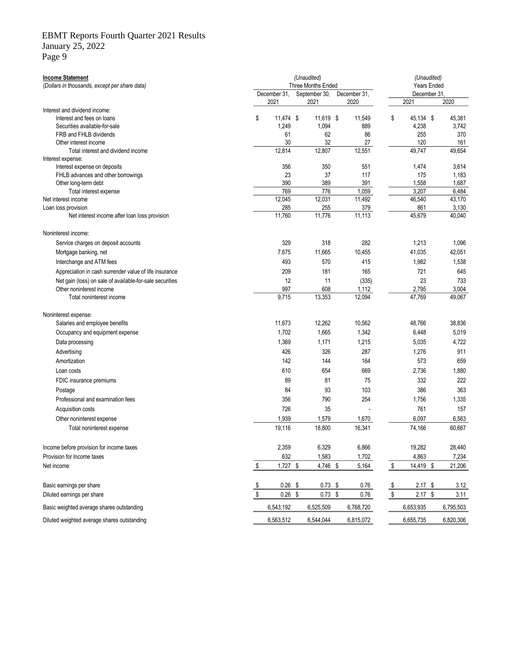#### EBMT Reports Fourth Quarter 2021 Results

January 25, 2022

Page 9

| <b>Income Statement</b><br>(Dollars in thousands, except per share data) |                |              |              | (Unaudited)<br>Three Months Ended<br>September 30, |                      | (Unaudited)<br><b>Years Ended</b><br>December 31 |                         |           |  |           |
|--------------------------------------------------------------------------|----------------|--------------|--------------|----------------------------------------------------|----------------------|--------------------------------------------------|-------------------------|-----------|--|-----------|
|                                                                          |                | December 31, | 2021<br>2021 |                                                    | December 31,<br>2020 |                                                  |                         | 2021      |  | 2020      |
| Interest and dividend income:                                            |                |              |              |                                                    |                      |                                                  |                         |           |  |           |
| Interest and fees on loans                                               | \$             | 11,474 \$    |              | 11,619 \$                                          |                      | 11,549                                           | \$                      | 45,134 \$ |  | 45,381    |
| Securities available-for-sale                                            |                | 1,249        |              | 1,094                                              |                      | 889                                              |                         | 4,238     |  | 3,742     |
| FRB and FHLB dividends                                                   |                | 61           |              | 62                                                 |                      | 86                                               |                         | 255       |  | 370       |
| Other interest income                                                    |                | 30           |              | 32                                                 |                      | 27                                               |                         | 120       |  | 161       |
| Total interest and dividend income                                       |                | 12,814       |              | 12,807                                             |                      | 12,551                                           |                         | 49,747    |  | 49,654    |
| Interest expense:                                                        |                |              |              |                                                    |                      |                                                  |                         |           |  |           |
| Interest expense on deposits                                             |                | 356          |              | 350                                                |                      | 551                                              |                         | 1,474     |  | 3,614     |
| FHLB advances and other borrowings                                       |                | 23           |              | 37                                                 |                      | 117                                              |                         | 175       |  | 1,183     |
| Other long-term debt                                                     |                | 390          |              | 389                                                |                      | 391                                              |                         | 1,558     |  | 1,687     |
| Total interest expense                                                   |                | 769          |              | 776                                                |                      | 1,059                                            |                         | 3,207     |  | 6,484     |
| Net interest income                                                      |                | 12,045       |              | 12,031                                             |                      | 11,492                                           |                         | 46,540    |  | 43,170    |
| Loan loss provision                                                      |                | 285          |              | 255                                                |                      | 379                                              |                         | 861       |  | 3,130     |
| Net interest income after loan loss provision                            |                | 11,760       |              | 11,776                                             |                      | 11,113                                           |                         | 45,679    |  | 40,040    |
| Noninterest income:                                                      |                |              |              |                                                    |                      |                                                  |                         |           |  |           |
| Service charges on deposit accounts                                      |                | 329          |              | 318                                                |                      | 282                                              |                         | 1,213     |  | 1,096     |
| Mortgage banking, net                                                    |                | 7,675        |              | 11,665                                             |                      | 10,455                                           |                         | 41,035    |  | 42,051    |
| Interchange and ATM fees                                                 |                | 493          |              | 570                                                |                      | 415                                              |                         | 1,982     |  | 1,538     |
| Appreciation in cash surrender value of life insurance                   |                | 209          |              | 181                                                |                      | 165                                              |                         | 721       |  | 645       |
| Net gain (loss) on sale of available-for-sale securities                 |                | 12           |              | 11                                                 |                      | (335)                                            |                         | 23        |  | 733       |
| Other noninterest income                                                 |                | 997          |              | 608                                                |                      | 1,112                                            |                         | 2,795     |  | 3,004     |
| Total noninterest income                                                 |                | 9,715        |              | 13,353                                             |                      | 12,094                                           |                         | 47,769    |  | 49,067    |
| Noninterest expense:                                                     |                |              |              |                                                    |                      |                                                  |                         |           |  |           |
| Salaries and employee benefits                                           |                | 11,673       |              | 12,262                                             |                      | 10,562                                           |                         | 48,766    |  | 38,836    |
| Occupancy and equipment expense                                          |                | 1,702        |              | 1,665                                              |                      | 1,342                                            |                         | 6,448     |  | 5,019     |
| Data processing                                                          |                | 1,369        |              | 1,171                                              |                      | 1,215                                            |                         | 5,035     |  | 4,722     |
| Advertising                                                              |                | 426          |              | 326                                                |                      | 287                                              |                         | 1,276     |  | 911       |
| Amortization                                                             |                | 142          |              | 144                                                |                      | 164                                              |                         | 573       |  | 659       |
|                                                                          |                |              |              |                                                    |                      |                                                  |                         |           |  |           |
| Loan costs                                                               |                | 610          |              | 654                                                |                      | 669                                              |                         | 2,736     |  | 1,880     |
| FDIC insurance premiums                                                  |                | 89           |              | 81                                                 |                      | 75                                               |                         | 332       |  | 222       |
| Postage                                                                  |                | 84           |              | 93                                                 |                      | 103                                              |                         | 386       |  | 363       |
| Professional and examination fees                                        |                | 356          |              | 790                                                |                      | 254                                              |                         | 1,756     |  | 1,335     |
| Acquisition costs                                                        |                | 726          |              | 35                                                 |                      |                                                  |                         | 761       |  | 157       |
| Other noninterest expense                                                |                | 1,939        |              | 1,579                                              |                      | 1,670                                            |                         | 6,097     |  | 6,563     |
| Total noninterest expense                                                |                | 19,116       |              | 18,800                                             |                      | 16,341                                           |                         | 74,166    |  | 60,667    |
| Income before provision for income taxes                                 |                | 2,359        |              | 6,329                                              |                      | 6,866                                            |                         | 19,282    |  | 28,440    |
| Provision for Income taxes                                               |                | 632          |              | 1,583                                              |                      |                                                  |                         | 4,863     |  |           |
|                                                                          |                |              |              |                                                    |                      | 1,702                                            |                         |           |  | 7,234     |
| Net income                                                               | $$\mathbb{S}$$ | 1,727 \$     |              | 4,746 \$                                           |                      | 5,164                                            | $\sqrt[6]{\frac{1}{2}}$ | 14,419 \$ |  | 21,206    |
| Basic earnings per share                                                 | \$             | $0.26$ \$    |              | $0.73$ \$                                          |                      | 0.76                                             | \$                      | $2.17$ \$ |  | 3.12      |
| Diluted earnings per share                                               | \$             | $0.26$ \$    |              | $0.73$ \$                                          |                      | 0.76                                             | $\sqrt[6]{\frac{1}{2}}$ | $2.17$ \$ |  | 3.11      |
| Basic weighted average shares outstanding                                |                | 6,543,192    |              | 6,525,509                                          |                      | 6,768,720                                        |                         | 6,653,935 |  | 6,795,503 |
| Diluted weighted average shares outstanding                              |                | 6,563,512    |              | 6,544,044                                          |                      | 6,815,072                                        |                         | 6,655,735 |  | 6,820,306 |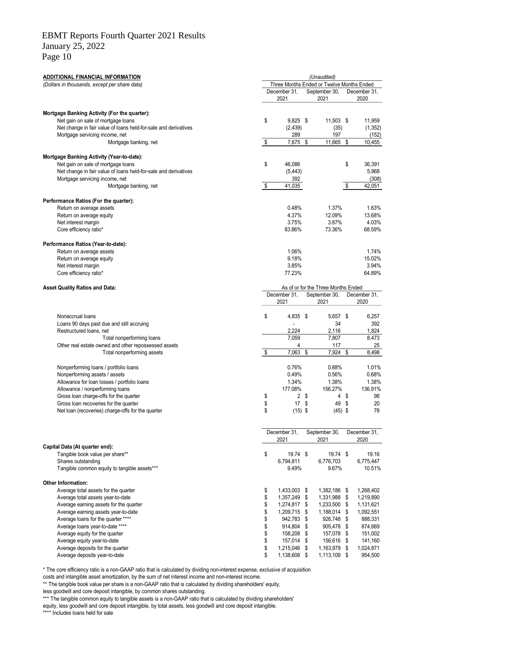Page 10

| <b>ADDITIONAL FINANCIAL INFORMATION</b>                               |          |                            | (Unaudited)                                                |                      |
|-----------------------------------------------------------------------|----------|----------------------------|------------------------------------------------------------|----------------------|
| (Dollars in thousands, except per share data)                         |          | December 31,               | Three Months Ended or Twelve Months Ended<br>September 30, | December 31,         |
|                                                                       |          | 2021                       | 2021                                                       | 2020                 |
| Mortgage Banking Activity (For the quarter):                          |          |                            |                                                            |                      |
| Net gain on sale of mortgage loans                                    | \$       | $9,825$ \$                 | 11,503 \$                                                  | 11,959               |
| Net change in fair value of loans held-for-sale and derivatives       |          | (2, 439)                   | (35)                                                       | (1, 352)             |
| Mortgage servicing income, net                                        |          | 289                        | 197                                                        | (152)                |
| Mortgage banking, net                                                 | \$       | 7,675                      | \$<br>11,665                                               | \$<br>10,455         |
| Mortgage Banking Activity (Year-to-date):                             |          |                            |                                                            |                      |
| Net gain on sale of mortgage loans                                    | \$       | 46,086                     |                                                            | \$<br>36,391         |
| Net change in fair value of loans held-for-sale and derivatives       |          | (5, 443)                   |                                                            | 5,968                |
| Mortgage servicing income, net                                        |          | 392                        |                                                            | (308)                |
| Mortgage banking, net                                                 | \$       | 41,035                     |                                                            | \$<br>42,051         |
| Performance Ratios (For the quarter):                                 |          |                            |                                                            |                      |
| Return on average assets                                              |          | 0.48%                      | 1.37%                                                      | 1.63%                |
| Return on average equity                                              |          | 4.37%                      | 12.09%                                                     | 13.68%               |
| Net interest margin                                                   |          | 3.75%                      | 3.87%                                                      | 4.03%                |
| Core efficiency ratio*                                                |          | 83.86%                     | 73.36%                                                     | 68.59%               |
| Performance Ratios (Year-to-date):                                    |          |                            |                                                            |                      |
| Return on average assets                                              |          | 1.06%                      |                                                            | 1.74%                |
| Return on average equity                                              |          | 9.18%                      |                                                            | 15.02%               |
| Net interest margin                                                   |          | 3.85%                      |                                                            | 3.94%                |
| Core efficiency ratio*                                                |          | 77.23%                     |                                                            | 64.89%               |
| <b>Asset Quality Ratios and Data:</b>                                 |          |                            | As of or for the Three Months Ended                        |                      |
|                                                                       |          | December 31.<br>2021       | September 30,<br>2021                                      | December 31,<br>2020 |
|                                                                       |          |                            |                                                            |                      |
| Nonaccrual loans                                                      | \$       | 4,835 \$                   | 5,657 \$                                                   | 6,257                |
| Loans 90 days past due and still accruing                             |          |                            | 34                                                         | 392                  |
| Restructured loans, net                                               |          | 2,224                      | 2,116                                                      | 1,824                |
| Total nonperforming loans                                             |          | 7,059                      | 7,807                                                      | 8,473                |
| Other real estate owned and other repossessed assets                  |          | 4                          | 117                                                        | 25                   |
| Total nonperforming assets                                            | \$       | 7,063                      | \$<br>7,924                                                | \$<br>8,498          |
| Nonperforming loans / portfolio loans                                 |          | 0.76%                      | 0.88%                                                      | 1.01%                |
| Nonperforming assets / assets                                         |          | 0.49%                      | 0.56%                                                      | 0.68%                |
| Allowance for loan losses / portfolio loans                           |          | 1.34%                      | 1.38%                                                      | 1.38%                |
| Allowance / nonperforming loans                                       |          | 177.08%                    | 156.27%                                                    | 136.91%              |
| Gross loan charge-offs for the quarter                                | \$       | 2 <sup>5</sup>             | 4                                                          | \$<br>98             |
| Gross loan recoveries for the quarter                                 | \$       | 17S                        | 49                                                         | \$<br>20             |
| Net loan (recoveries) charge-offs for the quarter                     | \$       | $(15)$ \$                  | $(45)$ \$                                                  | 78                   |
|                                                                       |          |                            |                                                            |                      |
|                                                                       |          | December 31,<br>2021       | September 30,<br>2021                                      | December 31,<br>2020 |
| Capital Data (At quarter end):                                        |          |                            |                                                            |                      |
| Tangible book value per share**                                       | \$       | 19.74 \$                   | 19.74 \$                                                   | 19.16                |
| Shares outstanding                                                    |          | 6,794,811                  | 6,776,703                                                  | 6,775,447            |
| Tangible common equity to tangible assets***                          |          | 9.49%                      | 9.67%                                                      | 10.51%               |
| Other Information:                                                    |          |                            |                                                            |                      |
| Average total assets for the quarter                                  | \$       | 1,433,003 \$               | 1,382,186 \$                                               | 1,268,402            |
| Average total assets year-to-date                                     | \$       | 1,357,249 \$               | 1,331,988 \$                                               | 1,219,890            |
| Average earning assets for the quarter                                | \$       | 1,274,817 \$               | 1,233,500 \$                                               | 1,131,621            |
| Average earning assets year-to-date                                   | \$       | 1,209,715 \$<br>942.783 \$ | 1,188,014 \$                                               | 1,092,551            |
| Average loans for the quarter ****<br>Average loans year-to-date **** | \$<br>\$ | 914,804 \$                 | 926,748 \$<br>905,478 \$                                   | 888,331<br>874,669   |
| Average equity for the quarter                                        | \$       | 158,208 \$                 | 157,078 \$                                                 | 151,002              |
| Average equity year-to-date                                           | \$       | 157,014 \$                 | 156,616 \$                                                 | 141,160              |
| Average deposits for the quarter                                      | \$       | 1,215,046 \$               | 1,163,979 \$                                               | 1,024,871            |
| Average deposits year-to-date                                         | \$       | 1,138,608 \$               | 1,113,109 \$                                               | 954,500              |
|                                                                       |          |                            |                                                            |                      |

\* The core efficiency ratio is a non-GAAP ratio that is calculated by dividing non-interest expense, exclusive of acquisition

costs and intangible asset amortization, by the sum of net interest income and non-interest income.

\*\* The tangible book value per share is a non-GAAP ratio that is calculated by dividing shareholders' equity,

less goodwill and core deposit intangible, by common shares outstanding.

\*\*\* The tangible common equity to tangible assets is a non-GAAP ratio that is calculated by dividing shareholders'

equity, less goodwill and core deposit intangible, by total assets, less goodwill and core deposit intangible. \*\*\*\* Includes loans held for sale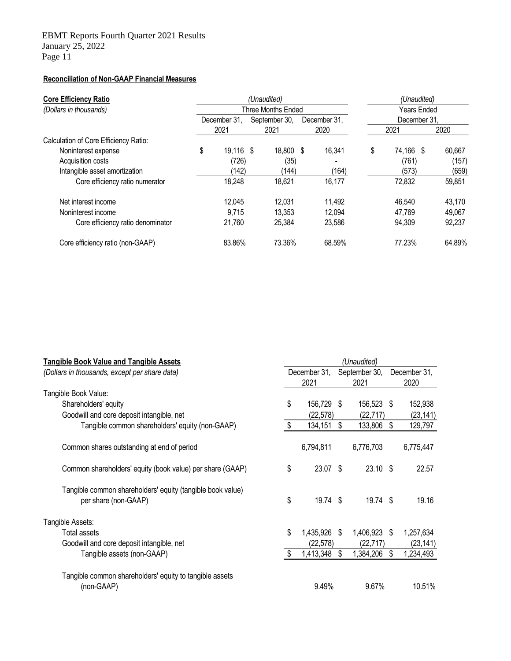# **Reconciliation of Non-GAAP Financial Measures**

| <b>Core Efficiency Ratio</b><br>(Dollars in thousands) |    |              |  | (Unaudited)<br><b>Three Months Ended</b> |  |              | (Unaudited)<br><b>Years Ended</b> |              |        |  |  |  |
|--------------------------------------------------------|----|--------------|--|------------------------------------------|--|--------------|-----------------------------------|--------------|--------|--|--|--|
|                                                        |    | December 31. |  | September 30,                            |  | December 31. |                                   | December 31. |        |  |  |  |
|                                                        |    | 2021         |  | 2021                                     |  | 2020         |                                   | 2021         | 2020   |  |  |  |
| Calculation of Core Efficiency Ratio:                  |    |              |  |                                          |  |              |                                   |              |        |  |  |  |
| Noninterest expense                                    | \$ | 19,116 \$    |  | 18,800 \$                                |  | 16,341       | \$                                | 74,166 \$    | 60,667 |  |  |  |
| Acquisition costs                                      |    | (726)        |  | (35)                                     |  |              |                                   | (761)        | (157)  |  |  |  |
| Intangible asset amortization                          |    | (142)        |  | (144)                                    |  | (164)        |                                   | (573)        | (659)  |  |  |  |
| Core efficiency ratio numerator                        |    | 18,248       |  | 18,621                                   |  | 16,177       |                                   | 72,832       | 59,851 |  |  |  |
| Net interest income                                    |    | 12.045       |  | 12.031                                   |  | 11.492       |                                   | 46.540       | 43,170 |  |  |  |
| Noninterest income                                     |    | 9.715        |  | 13.353                                   |  | 12.094       |                                   | 47.769       | 49.067 |  |  |  |
| Core efficiency ratio denominator                      |    | 21,760       |  | 25,384                                   |  | 23,586       |                                   | 94,309       | 92,237 |  |  |  |
| Core efficiency ratio (non-GAAP)                       |    | 83.86%       |  | 73.36%                                   |  | 68.59%       |                                   | 77.23%       | 64.89% |  |  |  |

| <b>Tangible Book Value and Tangible Assets</b>             | (Unaudited) |              |      |               |    |              |  |  |  |  |  |
|------------------------------------------------------------|-------------|--------------|------|---------------|----|--------------|--|--|--|--|--|
| (Dollars in thousands, except per share data)              |             | December 31, |      | September 30, |    | December 31, |  |  |  |  |  |
|                                                            |             | 2021         |      | 2021          |    | 2020         |  |  |  |  |  |
| Tangible Book Value:                                       |             |              |      |               |    |              |  |  |  |  |  |
| Shareholders' equity                                       | \$          | 156,729      | - \$ | 156,523 \$    |    | 152,938      |  |  |  |  |  |
| Goodwill and core deposit intangible, net                  |             | (22, 578)    |      | (22, 717)     |    | (23, 141)    |  |  |  |  |  |
| Tangible common shareholders' equity (non-GAAP)            | \$          | 134,151      | \$   | 133,806       | \$ | 129,797      |  |  |  |  |  |
| Common shares outstanding at end of period                 |             | 6,794,811    |      | 6,776,703     |    | 6,775,447    |  |  |  |  |  |
| Common shareholders' equity (book value) per share (GAAP)  | \$          | 23.07 \$     |      | $23.10$ \$    |    | 22.57        |  |  |  |  |  |
| Tangible common shareholders' equity (tangible book value) |             |              |      |               |    |              |  |  |  |  |  |
| per share (non-GAAP)                                       | \$          | 19.74 \$     |      | 19.74 \$      |    | 19.16        |  |  |  |  |  |
| Tangible Assets:                                           |             |              |      |               |    |              |  |  |  |  |  |
| Total assets                                               | \$          | 1,435,926    | -S   | 1,406,923 \$  |    | 1,257,634    |  |  |  |  |  |
| Goodwill and core deposit intangible, net                  |             | (22,578)     |      | (22, 717)     |    | (23, 141)    |  |  |  |  |  |
| Tangible assets (non-GAAP)                                 | \$          | 1,413,348    | \$   | 1,384,206     | \$ | 1,234,493    |  |  |  |  |  |
| Tangible common shareholders' equity to tangible assets    |             |              |      |               |    |              |  |  |  |  |  |
| (non-GAAP)                                                 |             | 9.49%        |      | 9.67%         |    | 10.51%       |  |  |  |  |  |